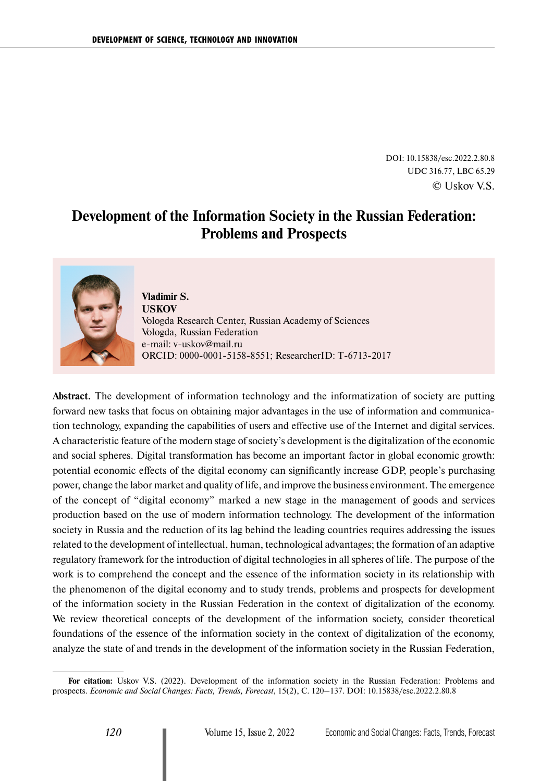DOI: 10.15838/esc.2022.2.80.8 UDC 316.77, LBC 65.29 © Uskov V.S.

# **Development of the Information Society in the Russian Federation: Problems and Prospects**



### **Vladimir S. USKOV** Vologda Research Center, Russian Academy of Sciences Vologda, Russian Federation e-mail: [v-uskov@mail.ru](mailto:v-uskov@mail.ru) ORCID: [0000-0001-5158-8551;](https://orcid.org/0000-0001-5158-8551) ResearcherID: [T-6713-2017](https://publons.com/researcher/2013947/vladimir-uskov/)

**Abstract.** The development of information technology and the informatization of society are putting forward new tasks that focus on obtaining major advantages in the use of information and communication technology, expanding the capabilities of users and effective use of the Internet and digital services. A characteristic feature of the modern stage of society's development is the digitalization of the economic and social spheres. Digital transformation has become an important factor in global economic growth: potential economic effects of the digital economy can significantly increase GDP, people's purchasing power, change the labor market and quality of life, and improve the business environment. The emergence of the concept of "digital economy" marked a new stage in the management of goods and services production based on the use of modern information technology. The development of the information society in Russia and the reduction of its lag behind the leading countries requires addressing the issues related to the development of intellectual, human, technological advantages; the formation of an adaptive regulatory framework for the introduction of digital technologies in all spheres of life. The purpose of the work is to comprehend the concept and the essence of the information society in its relationship with the phenomenon of the digital economy and to study trends, problems and prospects for development of the information society in the Russian Federation in the context of digitalization of the economy. We review theoretical concepts of the development of the information society, consider theoretical foundations of the essence of the information society in the context of digitalization of the economy, analyze the state of and trends in the development of the information society in the Russian Federation,

**For citation:** Uskov V.S. (2022). Development of the information society in the Russian Federation: Problems and prospects. *Economic and Social Changes: Facts, Trends, Forecast*, 15(2), С. 120–137. DOI: 10.15838/esc.2022.2.80.8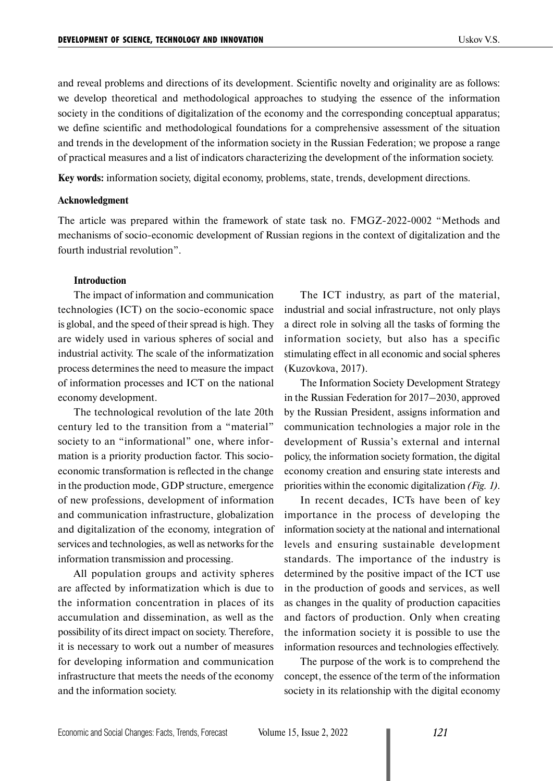and reveal problems and directions of its development. Scientific novelty and originality are as follows: we develop theoretical and methodological approaches to studying the essence of the information society in the conditions of digitalization of the economy and the corresponding conceptual apparatus; we define scientific and methodological foundations for a comprehensive assessment of the situation and trends in the development of the information society in the Russian Federation; we propose a range of practical measures and a list of indicators characterizing the development of the information society.

**Key words:** information society, digital economy, problems, state, trends, development directions.

#### **Acknowledgment**

The article was prepared within the framework of state task no. FMGZ-2022-0002 "Methods and mechanisms of socio-economic development of Russian regions in the context of digitalization and the fourth industrial revolution".

#### **Introduction**

The impact of information and communication technologies (ICT) on the socio-economic space is global, and the speed of their spread is high. They are widely used in various spheres of social and industrial activity. The scale of the informatization process determines the need to measure the impact of information processes and ICT on the national economy development.

The technological revolution of the late 20th century led to the transition from a "material" society to an "informational" one, where information is a priority production factor. This socioeconomic transformation is reflected in the change in the production mode, GDP structure, emergence of new professions, development of information and communication infrastructure, globalization and digitalization of the economy, integration of services and technologies, as well as networks for the information transmission and processing.

All population groups and activity spheres are affected by informatization which is due to the information concentration in places of its accumulation and dissemination, as well as the possibility of its direct impact on society. Therefore, it is necessary to work out a number of measures for developing information and communication infrastructure that meets the needs of the economy and the information society.

The ICT industry, as part of the material, industrial and social infrastructure, not only plays a direct role in solving all the tasks of forming the information society, but also has a specific stimulating effect in all economic and social spheres (Kuzovkova, 2017).

The Information Society Development Strategy in the Russian Federation for 2017–2030, approved by the Russian President, assigns information and communication technologies a major role in the development of Russia's external and internal policy, the information society formation, the digital economy creation and ensuring state interests and priorities within the economic digitalization *(Fig. 1)*.

In recent decades, ICTs have been of key importance in the process of developing the information society at the national and international levels and ensuring sustainable development standards. The importance of the industry is determined by the positive impact of the ICT use in the production of goods and services, as well as changes in the quality of production capacities and factors of production. Only when creating the information society it is possible to use the information resources and technologies effectively.

The purpose of the work is to comprehend the concept, the essence of the term of the information society in its relationship with the digital economy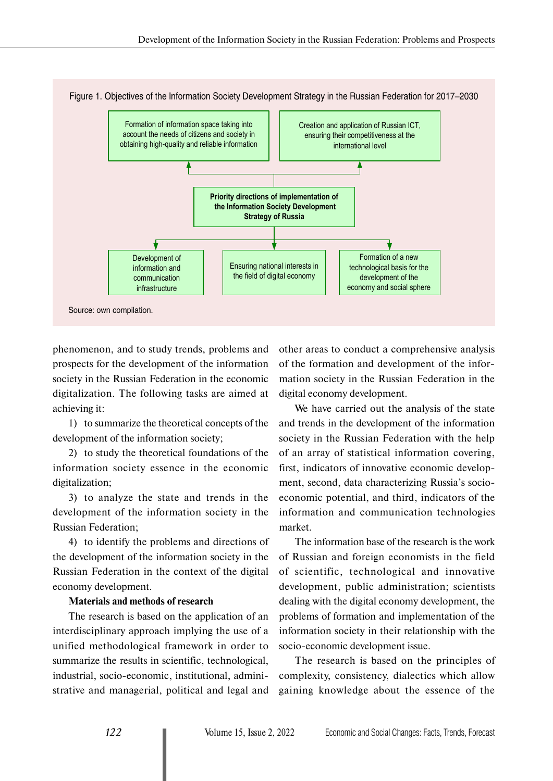

Figure 1. Objectives of the Information Society Development Strategy in the Russian Federation for 2017–2030

phenomenon, and to study trends, problems and prospects for the development of the information society in the Russian Federation in the economic digitalization. The following tasks are aimed at achieving it:

1) to summarize the theoretical concepts of the development of the information society;

2) to study the theoretical foundations of the information society essence in the economic digitalization;

3) to analyze the state and trends in the development of the information society in the Russian Federation;

4) to identify the problems and directions of the development of the information society in the Russian Federation in the context of the digital economy development.

#### **Materials and methods of research**

The research is based on the application of an interdisciplinary approach implying the use of a unified methodological framework in order to summarize the results in scientific, technological, industrial, socio-economic, institutional, administrative and managerial, political and legal and other areas to conduct a comprehensive analysis of the formation and development of the information society in the Russian Federation in the digital economy development.

We have carried out the analysis of the state and trends in the development of the information society in the Russian Federation with the help of an array of statistical information covering, first, indicators of innovative economic development, second, data characterizing Russia's socioeconomic potential, and third, indicators of the information and communication technologies market.

The information base of the research is the work of Russian and foreign economists in the field of scientific, technological and innovative development, public administration; scientists dealing with the digital economy development, the problems of formation and implementation of the information society in their relationship with the socio-economic development issue.

The research is based on the principles of complexity, consistency, dialectics which allow gaining knowledge about the essence of the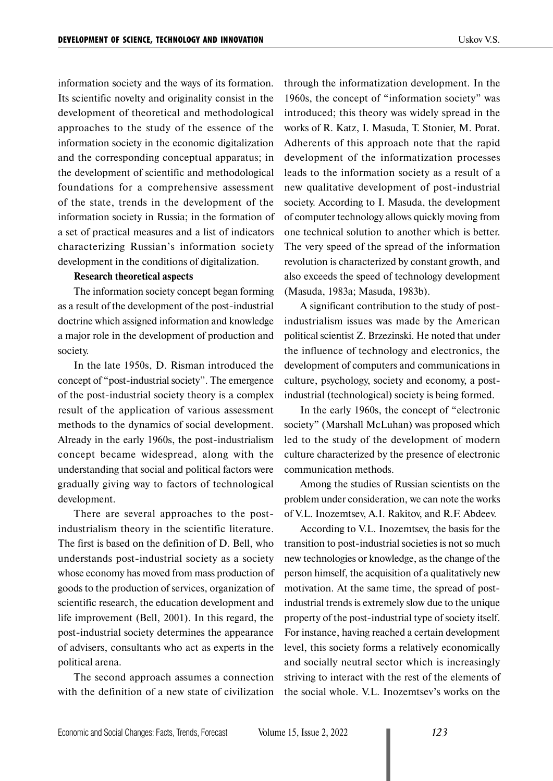information society and the ways of its formation. Its scientific novelty and originality consist in the development of theoretical and methodological approaches to the study of the essence of the information society in the economic digitalization and the corresponding conceptual apparatus; in the development of scientific and methodological foundations for a comprehensive assessment of the state, trends in the development of the information society in Russia; in the formation of a set of practical measures and a list of indicators characterizing Russian's information society development in the conditions of digitalization.

### **Research theoretical aspects**

The information society concept began forming as a result of the development of the post-industrial doctrine which assigned information and knowledge a major role in the development of production and society.

In the late 1950s, D. Risman introduced the concept of "post-industrial society". The emergence of the post-industrial society theory is a complex result of the application of various assessment methods to the dynamics of social development. Already in the early 1960s, the post-industrialism concept became widespread, along with the understanding that social and political factors were gradually giving way to factors of technological development.

There are several approaches to the postindustrialism theory in the scientific literature. The first is based on the definition of D. Bell, who understands post-industrial society as a society whose economy has moved from mass production of goods to the production of services, organization of scientific research, the education development and life improvement (Bell, 2001). In this regard, the post-industrial society determines the appearance of advisers, consultants who act as experts in the political arena.

The second approach assumes a connection with the definition of a new state of civilization through the informatization development. In the 1960s, the concept of "information society" was introduced; this theory was widely spread in the works of R. Katz, I. Masuda, T. Stonier, M. Porat. Adherents of this approach note that the rapid development of the informatization processes leads to the information society as a result of a new qualitative development of post-industrial society. According to I. Masuda, the development of computer technology allows quickly moving from one technical solution to another which is better. The very speed of the spread of the information revolution is characterized by constant growth, and also exceeds the speed of technology development (Masuda, 1983a; Masuda, 1983b).

A significant contribution to the study of postindustrialism issues was made by the American political scientist Z. Brzezinski. He noted that under the influence of technology and electronics, the development of computers and communications in culture, psychology, society and economy, a postindustrial (technological) society is being formed.

In the early 1960s, the concept of "electronic society" (Marshall McLuhan) was proposed which led to the study of the development of modern culture characterized by the presence of electronic communication methods.

Among the studies of Russian scientists on the problem under consideration, we can note the works of V.L. Inozemtsev, A.I. Rakitov, and R.F. Abdeev.

According to V.L. Inozemtsev, the basis for the transition to post-industrial societies is not so much new technologies or knowledge, as the change of the person himself, the acquisition of a qualitatively new motivation. At the same time, the spread of postindustrial trends is extremely slow due to the unique property of the post-industrial type of society itself. For instance, having reached a certain development level, this society forms a relatively economically and socially neutral sector which is increasingly striving to interact with the rest of the elements of the social whole. V.L. Inozemtsev's works on the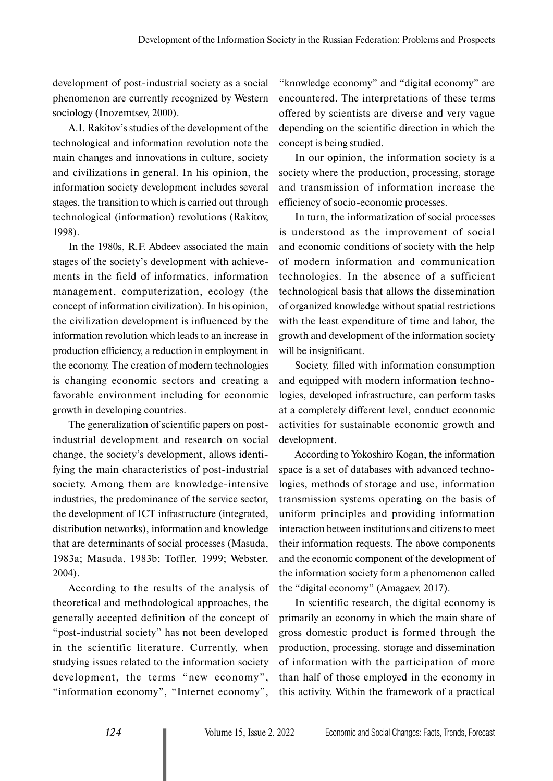development of post-industrial society as a social phenomenon are currently recognized by Western sociology (Inozemtsev, 2000).

A.I. Rakitov's studies of the development of the technological and information revolution note the main changes and innovations in culture, society and civilizations in general. In his opinion, the information society development includes several stages, the transition to which is carried out through technological (information) revolutions (Rakitov, 1998).

In the 1980s, R.F. Abdeev associated the main stages of the society's development with achievements in the field of informatics, information management, computerization, ecology (the concept of information civilization). In his opinion, the civilization development is influenced by the information revolution which leads to an increase in production efficiency, a reduction in employment in the economy. The creation of modern technologies is changing economic sectors and creating a favorable environment including for economic growth in developing countries.

The generalization of scientific papers on postindustrial development and research on social change, the society's development, allows identifying the main characteristics of post-industrial society. Among them are knowledge-intensive industries, the predominance of the service sector, the development of ICT infrastructure (integrated, distribution networks), information and knowledge that are determinants of social processes (Masuda, 1983a; Masuda, 1983b; Toffler, 1999; Webster, 2004).

According to the results of the analysis of theoretical and methodological approaches, the generally accepted definition of the concept of "post-industrial society" has not been developed in the scientific literature. Currently, when studying issues related to the information society development, the terms "new economy", "information economy", "Internet economy",

"knowledge economy" and "digital economy" are encountered. The interpretations of these terms offered by scientists are diverse and very vague depending on the scientific direction in which the concept is being studied.

In our opinion, the information society is a society where the production, processing, storage and transmission of information increase the efficiency of socio-economic processes.

In turn, the informatization of social processes is understood as the improvement of social and economic conditions of society with the help of modern information and communication technologies. In the absence of a sufficient technological basis that allows the dissemination of organized knowledge without spatial restrictions with the least expenditure of time and labor, the growth and development of the information society will be insignificant.

Society, filled with information consumption and equipped with modern information technologies, developed infrastructure, can perform tasks at a completely different level, conduct economic activities for sustainable economic growth and development.

According to Yokoshiro Kogan, the information space is a set of databases with advanced technologies, methods of storage and use, information transmission systems operating on the basis of uniform principles and providing information interaction between institutions and citizens to meet their information requests. The above components and the economic component of the development of the information society form a phenomenon called the "digital economy" (Amagaev, 2017).

In scientific research, the digital economy is primarily an economy in which the main share of gross domestic product is formed through the production, processing, storage and dissemination of information with the participation of more than half of those employed in the economy in this activity. Within the framework of a practical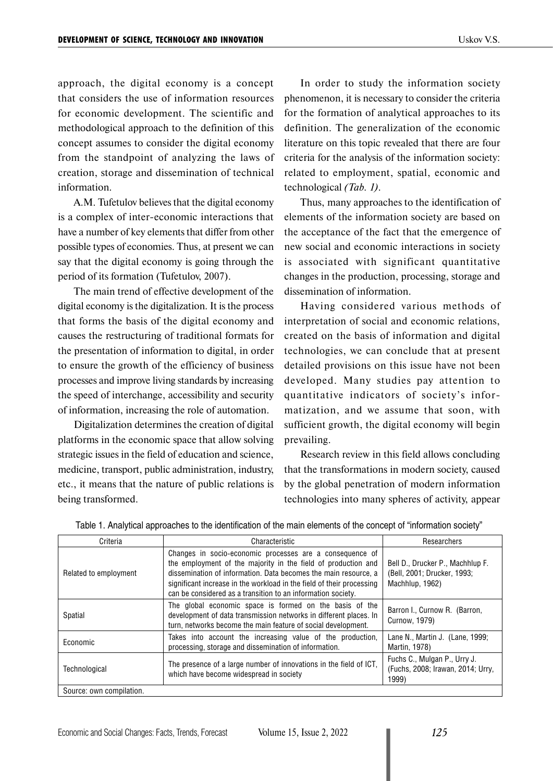approach, the digital economy is a concept that considers the use of information resources for economic development. The scientific and methodological approach to the definition of this concept assumes to consider the digital economy from the standpoint of analyzing the laws of creation, storage and dissemination of technical information.

A.M. Tufetulov believes that the digital economy is a complex of inter-economic interactions that have a number of key elements that differ from other possible types of economies. Thus, at present we can say that the digital economy is going through the period of its formation (Tufetulov, 2007).

The main trend of effective development of the digital economy is the digitalization. It is the process that forms the basis of the digital economy and causes the restructuring of traditional formats for the presentation of information to digital, in order to ensure the growth of the efficiency of business processes and improve living standards by increasing the speed of interchange, accessibility and security of information, increasing the role of automation.

Digitalization determines the creation of digital platforms in the economic space that allow solving strategic issues in the field of education and science, medicine, transport, public administration, industry, etc., it means that the nature of public relations is being transformed.

In order to study the information society phenomenon, it is necessary to consider the criteria for the formation of analytical approaches to its definition. The generalization of the economic literature on this topic revealed that there are four criteria for the analysis of the information society: related to employment, spatial, economic and technological *(Tab. 1)*.

Thus, many approaches to the identification of elements of the information society are based on the acceptance of the fact that the emergence of new social and economic interactions in society is associated with significant quantitative changes in the production, processing, storage and dissemination of information.

Having considered various methods of interpretation of social and economic relations, created on the basis of information and digital technologies, we can conclude that at present detailed provisions on this issue have not been developed. Many studies pay attention to quantitative indicators of society's informatization, and we assume that soon, with sufficient growth, the digital economy will begin prevailing.

Research review in this field allows concluding that the transformations in modern society, caused by the global penetration of modern information technologies into many spheres of activity, appear

| Criteria                 | Characteristic                                                                                                                                                                                                                                                                                                                        | Researchers                                                                        |
|--------------------------|---------------------------------------------------------------------------------------------------------------------------------------------------------------------------------------------------------------------------------------------------------------------------------------------------------------------------------------|------------------------------------------------------------------------------------|
| Related to employment    | Changes in socio-economic processes are a consequence of<br>the employment of the majority in the field of production and<br>dissemination of information. Data becomes the main resource, a<br>significant increase in the workload in the field of their processing<br>can be considered as a transition to an information society. | Bell D., Drucker P., Machhlup F.<br>(Bell, 2001; Drucker, 1993;<br>Machhlup, 1962) |
| Spatial                  | The global economic space is formed on the basis of the<br>development of data transmission networks in different places. In<br>turn, networks become the main feature of social development.                                                                                                                                         | Barron I., Curnow R. (Barron,<br>Curnow, 1979)                                     |
| Economic                 | Takes into account the increasing value of the production,<br>processing, storage and dissemination of information.                                                                                                                                                                                                                   | Lane N., Martin J. (Lane, 1999;<br>Martin, 1978)                                   |
| Technological            | The presence of a large number of innovations in the field of ICT,<br>which have become widespread in society                                                                                                                                                                                                                         | Fuchs C., Mulgan P., Urry J.<br>(Fuchs, 2008; Irawan, 2014; Urry,<br>1999)         |
| Source: own compilation. |                                                                                                                                                                                                                                                                                                                                       |                                                                                    |

Table 1. Analytical approaches to the identification of the main elements of the concept of "information society"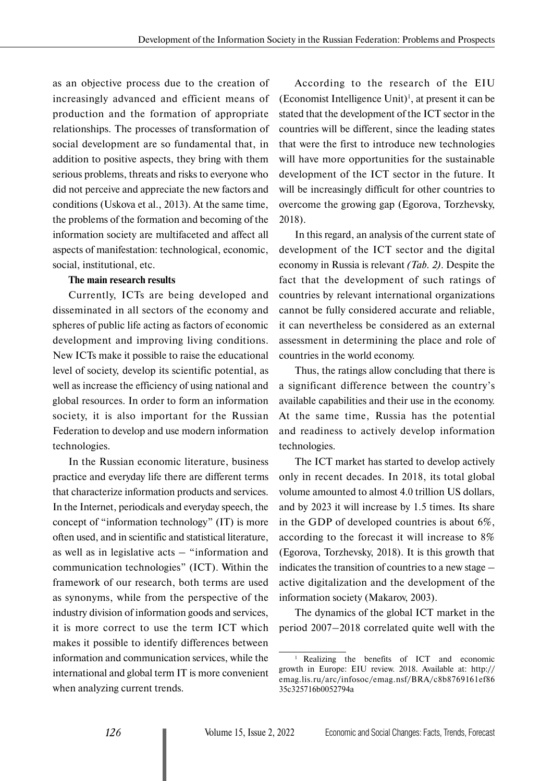as an objective process due to the creation of increasingly advanced and efficient means of production and the formation of appropriate relationships. The processes of transformation of social development are so fundamental that, in addition to positive aspects, they bring with them serious problems, threats and risks to everyone who did not perceive and appreciate the new factors and conditions (Uskova et al., 2013). At the same time, the problems of the formation and becoming of the information society are multifaceted and affect all aspects of manifestation: technological, economic, social, institutional, etc.

## **The main research results**

Currently, ICTs are being developed and disseminated in all sectors of the economy and spheres of public life acting as factors of economic development and improving living conditions. New ICTs make it possible to raise the educational level of society, develop its scientific potential, as well as increase the efficiency of using national and global resources. In order to form an information society, it is also important for the Russian Federation to develop and use modern information technologies.

In the Russian economic literature, business practice and everyday life there are different terms that characterize information products and services. In the Internet, periodicals and everyday speech, the concept of "information technology" (IT) is more often used, and in scientific and statistical literature, as well as in legislative acts – "information and communication technologies" (ICT). Within the framework of our research, both terms are used as synonyms, while from the perspective of the industry division of information goods and services, it is more correct to use the term ICT which makes it possible to identify differences between information and communication services, while the international and global term IT is more convenient when analyzing current trends.

According to the research of the EIU  $(Economics$  Intelligence Unit $)$ <sup>1</sup>, at present it can be stated that the development of the ICT sector in the countries will be different, since the leading states that were the first to introduce new technologies will have more opportunities for the sustainable development of the ICT sector in the future. It will be increasingly difficult for other countries to overcome the growing gap (Egorova, Torzhevsky, 2018).

In this regard, an analysis of the current state of development of the ICT sector and the digital economy in Russia is relevant *(Tab. 2)*. Despite the fact that the development of such ratings of countries by relevant international organizations cannot be fully considered accurate and reliable, it can nevertheless be considered as an external assessment in determining the place and role of countries in the world economy.

Thus, the ratings allow concluding that there is a significant difference between the country's available capabilities and their use in the economy. At the same time, Russia has the potential and readiness to actively develop information technologies.

The ICT market has started to develop actively only in recent decades. In 2018, its total global volume amounted to almost 4.0 trillion US dollars, and by 2023 it will increase by 1.5 times. Its share in the GDP of developed countries is about 6%, according to the forecast it will increase to 8% (Egorova, Torzhevsky, 2018). It is this growth that indicates the transition of countries to a new stage – active digitalization and the development of the information society (Makarov, 2003).

The dynamics of the global ICT market in the period 2007–2018 correlated quite well with the

<sup>1</sup> Realizing the benefits of ICT and economic growth in Europe: EIU review. 2018. Available at: http:// emag.lis.ru/arc/infosoc/emag.nsf/BRA/c8b8769161ef86 35c325716b0052794a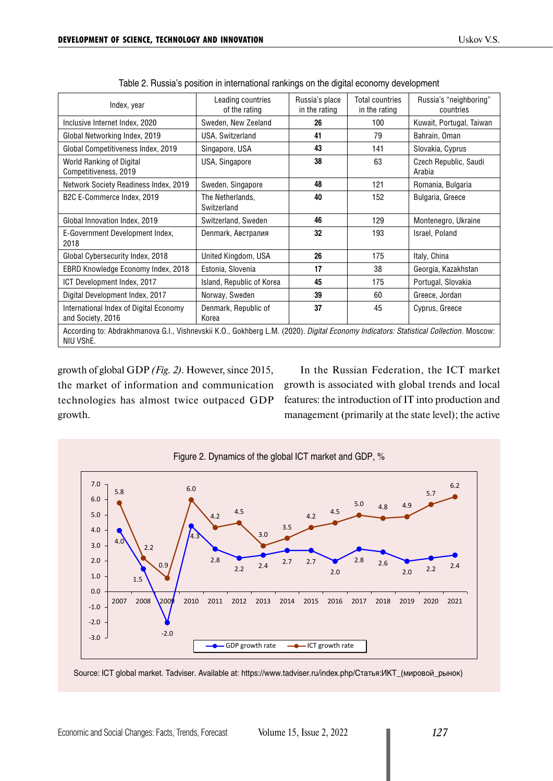| Index, year                                                                                                                                        | Leading countries<br>of the rating | Russia's place<br>in the rating | Total countries<br>in the rating | Russia's "neighboring"<br>countries |  |  |
|----------------------------------------------------------------------------------------------------------------------------------------------------|------------------------------------|---------------------------------|----------------------------------|-------------------------------------|--|--|
| Inclusive Internet Index, 2020                                                                                                                     | Sweden, New Zeeland                | 26                              | 100                              | Kuwait, Portugal, Taiwan            |  |  |
| Global Networking Index, 2019                                                                                                                      | USA, Switzerland                   | 41                              | 79                               | Bahrain, Oman                       |  |  |
| Global Competitiveness Index, 2019                                                                                                                 | Singapore, USA                     | 43                              | 141                              | Slovakia, Cyprus                    |  |  |
| World Ranking of Digital<br>Competitiveness, 2019                                                                                                  | USA, Singapore                     | 38                              | 63                               | Czech Republic, Saudi<br>Arabia     |  |  |
| Network Society Readiness Index, 2019                                                                                                              | Sweden, Singapore                  | 48                              | 121                              | Romania, Bulgaria                   |  |  |
| B2C E-Commerce Index, 2019                                                                                                                         | The Netherlands,<br>Switzerland    | 40                              | 152                              | Bulgaria, Greece                    |  |  |
| Global Innovation Index, 2019                                                                                                                      | Switzerland, Sweden                | 46                              | 129                              | Montenegro, Ukraine                 |  |  |
| E-Government Development Index,<br>2018                                                                                                            | Denmark, Австралия                 | 32                              | 193                              | Israel, Poland                      |  |  |
| Global Cybersecurity Index, 2018                                                                                                                   | United Kingdom, USA                | 26                              | 175                              | Italy, China                        |  |  |
| <b>EBRD Knowledge Economy Index, 2018</b>                                                                                                          | Estonia, Slovenia                  | 17                              | 38                               | Georgia, Kazakhstan                 |  |  |
| ICT Development Index, 2017                                                                                                                        | Island, Republic of Korea          | 45                              | 175                              | Portugal, Slovakia                  |  |  |
| Digital Development Index, 2017                                                                                                                    | Norway, Sweden                     | 39                              | 60                               | Greece, Jordan                      |  |  |
| International Index of Digital Economy<br>and Society, 2016                                                                                        | Denmark, Republic of<br>Korea      | 37                              | 45                               | Cyprus, Greece                      |  |  |
| According to: Abdrakhmanova G.I., Vishnevskii K.O., Gokhberg L.M. (2020). Digital Economy Indicators: Statistical Collection. Moscow:<br>NIU VShE. |                                    |                                 |                                  |                                     |  |  |

Table 2. Russia's position in international rankings on the digital economy development

growth of global GDP *(Fig. 2)*. However, since 2015, the market of information and communication technologies has almost twice outpaced GDP growth.

In the Russian Federation, the ICT market growth is associated with global trends and local features: the introduction of IT into production and management (primarily at the state level); the active



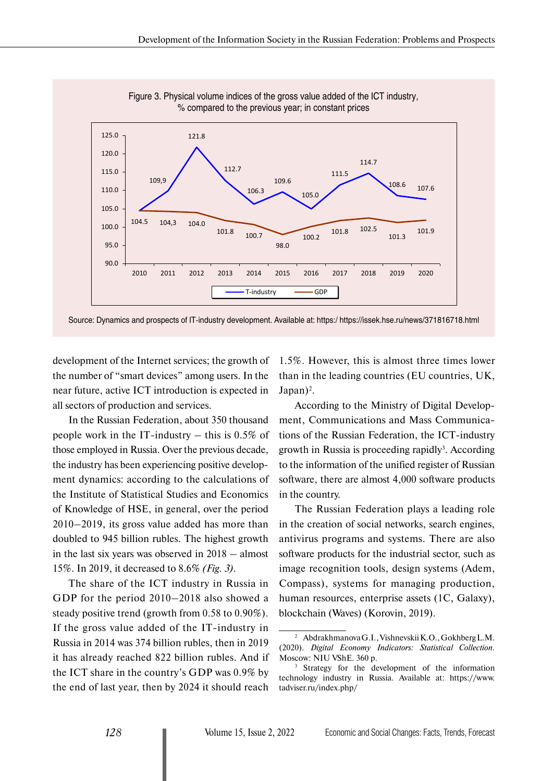

Figure 3. Physical volume indices of the gross value added of the ICT industry, % compared to the previous year; in constant prices

Source: Dynamics and prospects of IT-industry development. Available at: https:/ https://issek.hse.ru/news/371816718.html

development of the Internet services; the growth of the number of "smart devices" among users. In the near future, active ICT introduction is expected in all sectors of production and services.

In the Russian Federation, about 350 thousand people work in the IT-industry  $-$  this is 0.5% of those employed in Russia. Over the previous decade, the industry has been experiencing positive development dynamics: according to the calculations of the Institute of Statistical Studies and Economics of Knowledge of HSE, in general, over the period 2010–2019, its gross value added has more than doubled to 945 billion rubles. The highest growth in the last six years was observed in 2018 – almost 15%. In 2019, it decreased to 8.6% *(Fig. 3)*.

The share of the ICT industry in Russia in GDP for the period 2010–2018 also showed a steady positive trend (growth from 0.58 to 0.90%). If the gross value added of the IT-industry in Russia in 2014 was 374 billion rubles, then in 2019 it has already reached 822 billion rubles. And if the ICT share in the country's GDP was 0.9% by the end of last year, then by 2024 it should reach

1.5%. However, this is almost three times lower than in the leading countries (EU countries, UK,  $Japan)^2$ .

According to the Ministry of Digital Development, Communications and Mass Communications of the Russian Federation, the ICT-industry growth in Russia is proceeding rapidly<sup>3</sup>. According to the information of the unified register of Russian software, there are almost 4,000 software products in the country.

The Russian Federation plays a leading role in the creation of social networks, search engines, antivirus programs and systems. There are also software products for the industrial sector, such as image recognition tools, design systems (Adem, Compass), systems for managing production, human resources, enterprise assets (1C, Galaxy), blockchain (Waves) (Korovin, 2019).

<sup>2</sup> Abdrakhmanova G.I., Vishnevskii K.O., Gokhberg L.M. (2020). *Digital Economy Indicators: Statistical Collection.* Moscow: NIU VShE. 360 p.

<sup>&</sup>lt;sup>3</sup> Strategy for the development of the information technology industry in Russia. Available at: https://www. tadviser.ru/index.php/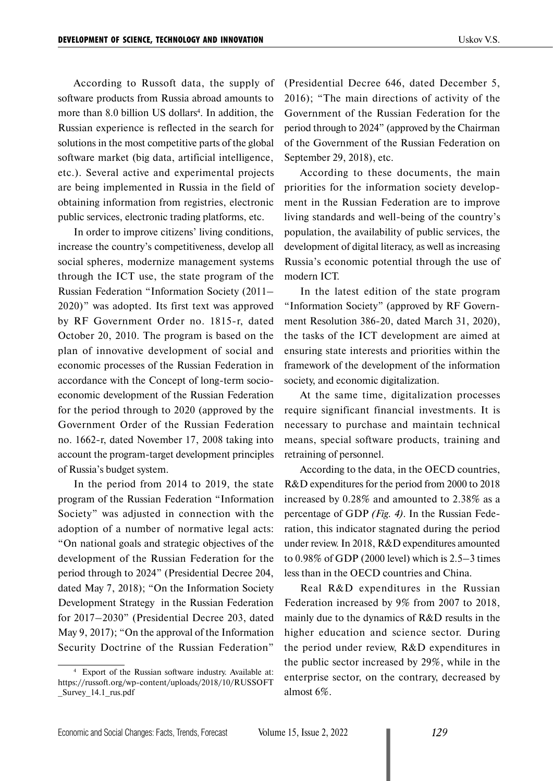According to Russoft data, the supply of software products from Russia abroad amounts to more than 8.0 billion US dollars<sup>4</sup>. In addition, the Russian experience is reflected in the search for solutions in the most competitive parts of the global software market (big data, artificial intelligence, etc.). Several active and experimental projects are being implemented in Russia in the field of obtaining information from registries, electronic public services, electronic trading platforms, etc.

In order to improve citizens' living conditions, increase the country's competitiveness, develop all social spheres, modernize management systems through the ICT use, the state program of the Russian Federation "Information Society (2011– 2020)" was adopted. Its first text was approved by RF Government Order no. 1815-r, dated October 20, 2010. The program is based on the plan of innovative development of social and economic processes of the Russian Federation in accordance with the Concept of long-term socioeconomic development of the Russian Federation for the period through to 2020 (approved by the Government Order of the Russian Federation no. 1662-r, dated November 17, 2008 taking into account the program-target development principles of Russia's budget system.

In the period from 2014 to 2019, the state program of the Russian Federation "Information Society" was adjusted in connection with the adoption of a number of normative legal acts: "On national goals and strategic objectives of the development of the Russian Federation for the period through to 2024" (Presidential Decree 204, dated May 7, 2018); "On the Information Society Development Strategy in the Russian Federation for 2017–2030" (Presidential Decree 203, dated May 9, 2017); "On the approval of the Information Security Doctrine of the Russian Federation"

<sup>4</sup> Export of the Russian software industry. Available at: https://russoft.org/wp-content/uploads/2018/10/RUSSOFT \_Survey\_14.1\_rus.pdf

(Presidential Decree 646, dated December 5, 2016); "The main directions of activity of the Government of the Russian Federation for the period through to 2024" (approved by the Chairman of the Government of the Russian Federation on September 29, 2018), etc.

According to these documents, the main priorities for the information society development in the Russian Federation are to improve living standards and well-being of the country's population, the availability of public services, the development of digital literacy, as well as increasing Russia's economic potential through the use of modern ICT.

In the latest edition of the state program "Information Society" (approved by RF Government Resolution 386-20, dated March 31, 2020), the tasks of the ICT development are aimed at ensuring state interests and priorities within the framework of the development of the information society, and economic digitalization.

At the same time, digitalization processes require significant financial investments. It is necessary to purchase and maintain technical means, special software products, training and retraining of personnel.

According to the data, in the OECD countries, R&D expenditures for the period from 2000 to 2018 increased by 0.28% and amounted to 2.38% as a percentage of GDP *(Fig. 4)*. In the Russian Federation, this indicator stagnated during the period under review. In 2018, R&D expenditures amounted to 0.98% of GDP (2000 level) which is 2.5–3 times less than in the OECD countries and China.

Real R&D expenditures in the Russian Federation increased by 9% from 2007 to 2018, mainly due to the dynamics of R&D results in the higher education and science sector. During the period under review, R&D expenditures in the public sector increased by 29%, while in the enterprise sector, on the contrary, decreased by almost 6%.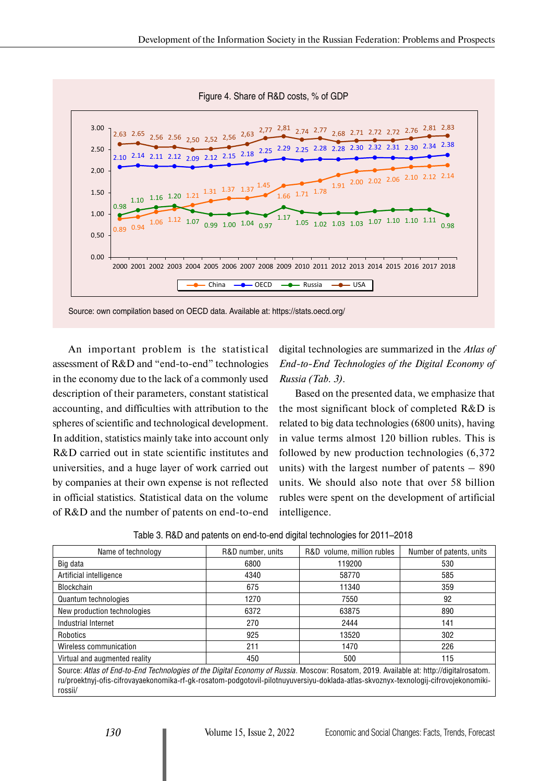

Source: own compilation based on OECD data. Available at: https://stats.oecd.org/

An important problem is the statistical assessment of R&D and "end-to-end" technologies in the economy due to the lack of a commonly used description of their parameters, constant statistical accounting, and difficulties with attribution to the spheres of scientific and technological development. In addition, statistics mainly take into account only R&D carried out in state scientific institutes and universities, and a huge layer of work carried out by companies at their own expense is not reflected in official statistics. Statistical data on the volume of R&D and the number of patents on end-to-end

digital technologies are summarized in the *Atlas of End-to-End Technologies of the Digital Economy of Russia (Tab. 3)*.

Based on the presented data, we emphasize that the most significant block of completed R&D is related to big data technologies (6800 units), having in value terms almost 120 billion rubles. This is followed by new production technologies (6,372 units) with the largest number of patents – 890 units. We should also note that over 58 billion rubles were spent on the development of artificial intelligence.

| Name of technology                                                                                                                                                                                                                                                                       | R&D number, units | R&D volume, million rubles | Number of patents, units |  |  |
|------------------------------------------------------------------------------------------------------------------------------------------------------------------------------------------------------------------------------------------------------------------------------------------|-------------------|----------------------------|--------------------------|--|--|
| Big data                                                                                                                                                                                                                                                                                 | 6800              | 119200                     | 530                      |  |  |
| Artificial intelligence                                                                                                                                                                                                                                                                  | 4340              | 58770                      | 585                      |  |  |
| <b>Blockchain</b>                                                                                                                                                                                                                                                                        | 675               | 11340                      | 359                      |  |  |
| Quantum technologies                                                                                                                                                                                                                                                                     | 1270              | 7550                       | 92                       |  |  |
| New production technologies                                                                                                                                                                                                                                                              | 6372              | 63875                      | 890                      |  |  |
| Industrial Internet                                                                                                                                                                                                                                                                      | 270               | 2444                       | 141                      |  |  |
| Robotics                                                                                                                                                                                                                                                                                 | 925               | 13520                      | 302                      |  |  |
| Wireless communication                                                                                                                                                                                                                                                                   | 211               | 1470                       | 226                      |  |  |
| Virtual and augmented reality                                                                                                                                                                                                                                                            | 450               | 500                        | 115                      |  |  |
| Source: Atlas of End-to-End Technologies of the Digital Economy of Russia. Moscow: Rosatom, 2019. Available at: http://digitalrosatom.<br>ru/proektnyj-ofis-cifrovayaekonomika-rf-gk-rosatom-podgotovil-pilotnuyuversiyu-doklada-atlas-skvoznyx-texnologij-cifrovojekonomiki-<br>rossii/ |                   |                            |                          |  |  |

Table 3. R&D and patents on end-to-end digital technologies for 2011–2018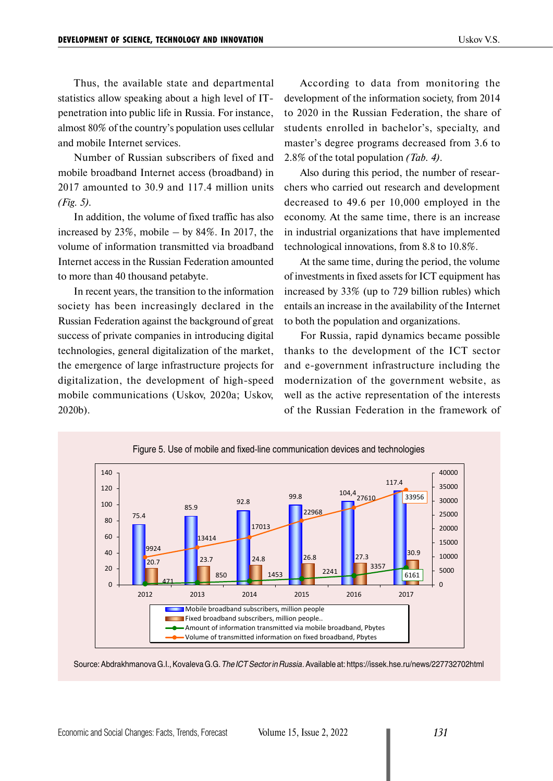Thus, the available state and departmental statistics allow speaking about a high level of ITpenetration into public life in Russia. For instance, almost 80% of the country's population uses cellular and mobile Internet services.

Number of Russian subscribers of fixed and mobile broadband Internet access (broadband) in 2017 amounted to 30.9 and 117.4 million units *(Fig. 5).*

In addition, the volume of fixed traffic has also increased by  $23\%$ , mobile – by  $84\%$ . In 2017, the volume of information transmitted via broadband Internet access in the Russian Federation amounted to more than 40 thousand petabyte.

In recent years, the transition to the information society has been increasingly declared in the Russian Federation against the background of great success of private companies in introducing digital technologies, general digitalization of the market, the emergence of large infrastructure projects for digitalization, the development of high-speed mobile communications (Uskov, 2020a; Uskov, 2020b).

According to data from monitoring the development of the information society, from 2014 to 2020 in the Russian Federation, the share of students enrolled in bachelor's, specialty, and master's degree programs decreased from 3.6 to 2.8% of the total population *(Tab. 4)*.

Also during this period, the number of researchers who carried out research and development decreased to 49.6 per 10,000 employed in the economy. At the same time, there is an increase in industrial organizations that have implemented technological innovations, from 8.8 to 10.8%.

At the same time, during the period, the volume of investments in fixed assets for ICT equipment has increased by 33% (up to 729 billion rubles) which entails an increase in the availability of the Internet to both the population and organizations.

For Russia, rapid dynamics became possible thanks to the development of the ICT sector and e-government infrastructure including the modernization of the government website, as well as the active representation of the interests of the Russian Federation in the framework of



Source: Abdrakhmanova G.I., Kovaleva G.G. *The ICT Sector in Russia.* Available at: https://issek.hse.ru/news/227732702html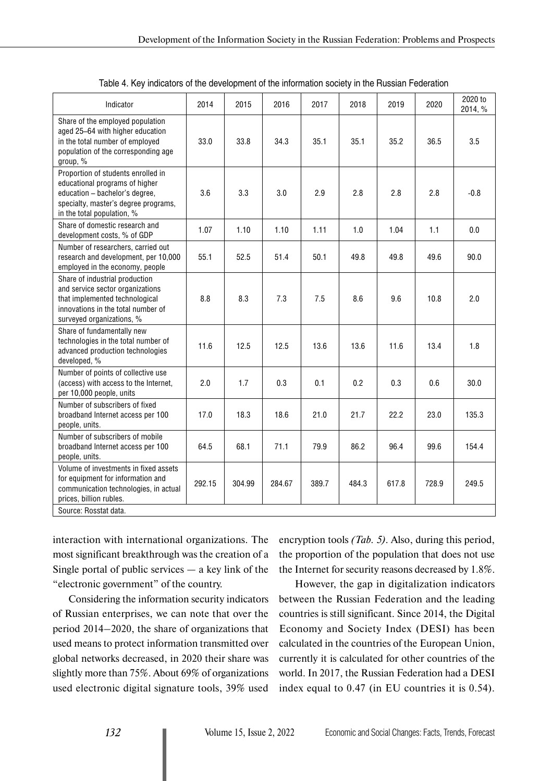| Indicator                                                                                                                                                                    | 2014   | 2015   | 2016   | 2017  | 2018  | 2019  | 2020  | 2020 to<br>2014, % |
|------------------------------------------------------------------------------------------------------------------------------------------------------------------------------|--------|--------|--------|-------|-------|-------|-------|--------------------|
| Share of the employed population<br>aged 25-64 with higher education<br>in the total number of employed<br>population of the corresponding age<br>group, %                   | 33.0   | 33.8   | 34.3   | 35.1  | 35.1  | 35.2  | 36.5  | 3.5                |
| Proportion of students enrolled in<br>educational programs of higher<br>education - bachelor's degree,<br>specialty, master's degree programs,<br>in the total population, % | 3.6    | 3.3    | 3.0    | 2.9   | 2.8   | 2.8   | 2.8   | $-0.8$             |
| Share of domestic research and<br>development costs, % of GDP                                                                                                                | 1.07   | 1.10   | 1.10   | 1.11  | 1.0   | 1.04  | 1.1   | 0.0                |
| Number of researchers, carried out<br>research and development, per 10,000<br>employed in the economy, people                                                                | 55.1   | 52.5   | 51.4   | 50.1  | 49.8  | 49.8  | 49.6  | 90.0               |
| Share of industrial production<br>and service sector organizations<br>that implemented technological<br>innovations in the total number of<br>surveyed organizations, %      | 8.8    | 8.3    | 7.3    | 7.5   | 8.6   | 9.6   | 10.8  | 2.0                |
| Share of fundamentally new<br>technologies in the total number of<br>advanced production technologies<br>developed, %                                                        | 11.6   | 12.5   | 12.5   | 13.6  | 13.6  | 11.6  | 13.4  | 1.8                |
| Number of points of collective use<br>(access) with access to the Internet,<br>per 10,000 people, units                                                                      | 2.0    | 1.7    | 0.3    | 0.1   | 0.2   | 0.3   | 0.6   | 30.0               |
| Number of subscribers of fixed<br>broadband Internet access per 100<br>people, units.                                                                                        | 17.0   | 18.3   | 18.6   | 21.0  | 21.7  | 22.2  | 23.0  | 135.3              |
| Number of subscribers of mobile<br>broadband Internet access per 100<br>people, units.                                                                                       | 64.5   | 68.1   | 71.1   | 79.9  | 86.2  | 96.4  | 99.6  | 154.4              |
| Volume of investments in fixed assets<br>for equipment for information and<br>communication technologies, in actual<br>prices, billion rubles.                               | 292.15 | 304.99 | 284.67 | 389.7 | 484.3 | 617.8 | 728.9 | 249.5              |
| Source: Rosstat data.                                                                                                                                                        |        |        |        |       |       |       |       |                    |

|  | Table 4. Key indicators of the development of the information society in the Russian Federation |
|--|-------------------------------------------------------------------------------------------------|
|  |                                                                                                 |

interaction with international organizations. The most significant breakthrough was the creation of a Single portal of public services  $-$  a key link of the "electronic government" of the country.

Considering the information security indicators of Russian enterprises, we can note that over the period 2014–2020, the share of organizations that used means to protect information transmitted over global networks decreased, in 2020 their share was slightly more than 75%. About 69% of organizations used electronic digital signature tools, 39% used

encryption tools *(Tab. 5)*. Also, during this period, the proportion of the population that does not use the Internet for security reasons decreased by 1.8%.

However, the gap in digitalization indicators between the Russian Federation and the leading countries is still significant. Since 2014, the Digital Economy and Society Index (DESI) has been calculated in the countries of the European Union, currently it is calculated for other countries of the world. In 2017, the Russian Federation had a DESI index equal to 0.47 (in EU countries it is 0.54).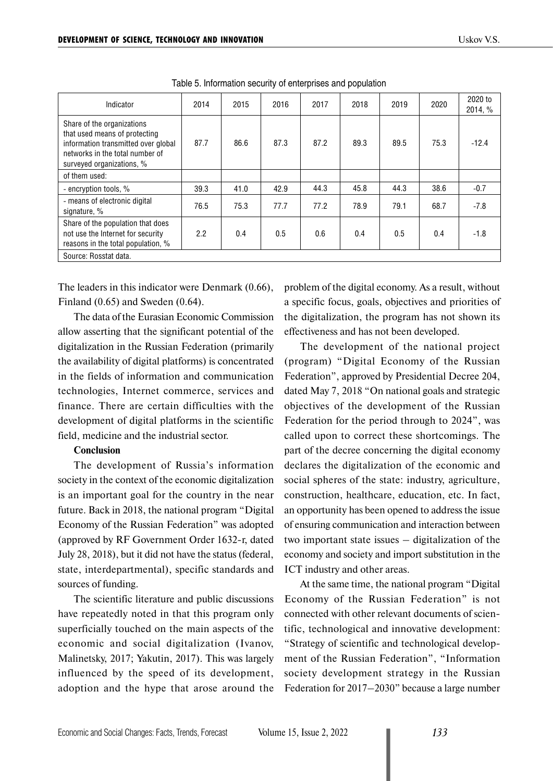| Indicator                                                                                                                                                          | 2014 | 2015 | 2016 | 2017 | 2018 | 2019 | 2020 | 2020 to<br>2014, % |
|--------------------------------------------------------------------------------------------------------------------------------------------------------------------|------|------|------|------|------|------|------|--------------------|
| Share of the organizations<br>that used means of protecting<br>information transmitted over global<br>networks in the total number of<br>surveyed organizations, % | 87.7 | 86.6 | 87.3 | 87.2 | 89.3 | 89.5 | 75.3 | $-12.4$            |
| of them used:                                                                                                                                                      |      |      |      |      |      |      |      |                    |
| - encryption tools, %                                                                                                                                              | 39.3 | 41.0 | 42.9 | 44.3 | 45.8 | 44.3 | 38.6 | $-0.7$             |
| - means of electronic digital<br>signature, %                                                                                                                      | 76.5 | 75.3 | 77.7 | 77.2 | 78.9 | 79.1 | 68.7 | $-7.8$             |
| Share of the population that does<br>not use the Internet for security<br>reasons in the total population, %                                                       | 2.2  | 0.4  | 0.5  | 0.6  | 0.4  | 0.5  | 0.4  | $-1.8$             |
| Source: Rosstat data.                                                                                                                                              |      |      |      |      |      |      |      |                    |

Table 5. Information security of enterprises and population

The leaders in this indicator were Denmark (0.66), Finland (0.65) and Sweden (0.64).

The data of the Eurasian Economic Commission allow asserting that the significant potential of the digitalization in the Russian Federation (primarily the availability of digital platforms) is concentrated in the fields of information and communication technologies, Internet commerce, services and finance. There are certain difficulties with the development of digital platforms in the scientific field, medicine and the industrial sector.

#### **Conclusion**

The development of Russia's information society in the context of the economic digitalization is an important goal for the country in the near future. Back in 2018, the national program "Digital Economy of the Russian Federation" was adopted (approved by RF Government Order 1632-r, dated July 28, 2018), but it did not have the status (federal, state, interdepartmental), specific standards and sources of funding.

The scientific literature and public discussions have repeatedly noted in that this program only superficially touched on the main aspects of the economic and social digitalization (Ivanov, Malinetsky, 2017; Yakutin, 2017). This was largely influenced by the speed of its development, adoption and the hype that arose around the problem of the digital economy. As a result, without a specific focus, goals, objectives and priorities of the digitalization, the program has not shown its effectiveness and has not been developed.

The development of the national project (program) "Digital Economy of the Russian Federation", approved by Presidential Decree 204, dated May 7, 2018 "On national goals and strategic objectives of the development of the Russian Federation for the period through to 2024", was called upon to correct these shortcomings. The part of the decree concerning the digital economy declares the digitalization of the economic and social spheres of the state: industry, agriculture, construction, healthcare, education, etc. In fact, an opportunity has been opened to address the issue of ensuring communication and interaction between two important state issues – digitalization of the economy and society and import substitution in the ICT industry and other areas.

At the same time, the national program "Digital Economy of the Russian Federation" is not connected with other relevant documents of scientific, technological and innovative development: "Strategy of scientific and technological development of the Russian Federation", "Information society development strategy in the Russian Federation for 2017–2030" because a large number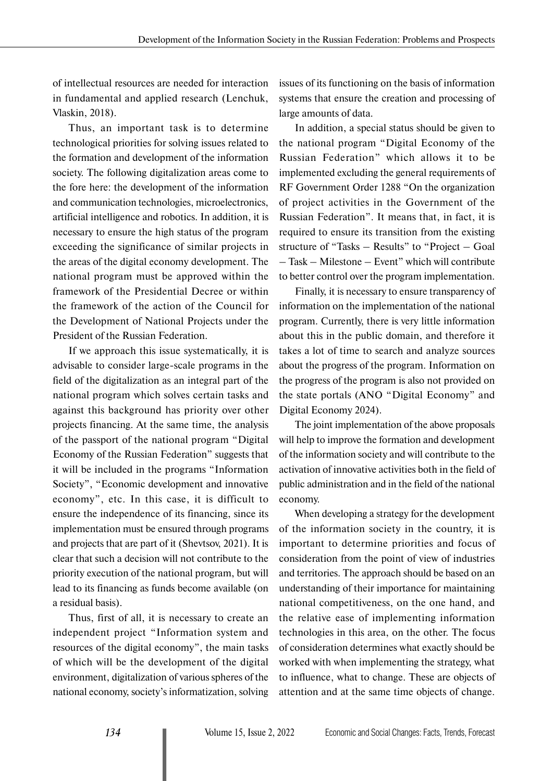of intellectual resources are needed for interaction in fundamental and applied research (Lenchuk, Vlaskin, 2018).

Thus, an important task is to determine technological priorities for solving issues related to the formation and development of the information society. The following digitalization areas come to the fore here: the development of the information and communication technologies, microelectronics, artificial intelligence and robotics. In addition, it is necessary to ensure the high status of the program exceeding the significance of similar projects in the areas of the digital economy development. The national program must be approved within the framework of the Presidential Decree or within the framework of the action of the Council for the Development of National Projects under the President of the Russian Federation.

If we approach this issue systematically, it is advisable to consider large-scale programs in the field of the digitalization as an integral part of the national program which solves certain tasks and against this background has priority over other projects financing. At the same time, the analysis of the passport of the national program "Digital Economy of the Russian Federation" suggests that it will be included in the programs "Information Society", "Economic development and innovative economy", etc. In this case, it is difficult to ensure the independence of its financing, since its implementation must be ensured through programs and projects that are part of it (Shevtsov, 2021). It is clear that such a decision will not contribute to the priority execution of the national program, but will lead to its financing as funds become available (on a residual basis).

Thus, first of all, it is necessary to create an independent project "Information system and resources of the digital economy", the main tasks of which will be the development of the digital environment, digitalization of various spheres of the national economy, society's informatization, solving

issues of its functioning on the basis of information systems that ensure the creation and processing of large amounts of data.

In addition, a special status should be given to the national program "Digital Economy of the Russian Federation" which allows it to be implemented excluding the general requirements of RF Government Order 1288 "On the organization of project activities in the Government of the Russian Federation". It means that, in fact, it is required to ensure its transition from the existing structure of "Tasks – Results" to "Project – Goal – Task – Milestone – Event" which will contribute to better control over the program implementation.

Finally, it is necessary to ensure transparency of information on the implementation of the national program. Currently, there is very little information about this in the public domain, and therefore it takes a lot of time to search and analyze sources about the progress of the program. Information on the progress of the program is also not provided on the state portals (ANO "Digital Economy" and Digital Economy 2024).

The joint implementation of the above proposals will help to improve the formation and development of the information society and will contribute to the activation of innovative activities both in the field of public administration and in the field of the national economy.

When developing a strategy for the development of the information society in the country, it is important to determine priorities and focus of consideration from the point of view of industries and territories. The approach should be based on an understanding of their importance for maintaining national competitiveness, on the one hand, and the relative ease of implementing information technologies in this area, on the other. The focus of consideration determines what exactly should be worked with when implementing the strategy, what to influence, what to change. These are objects of attention and at the same time objects of change.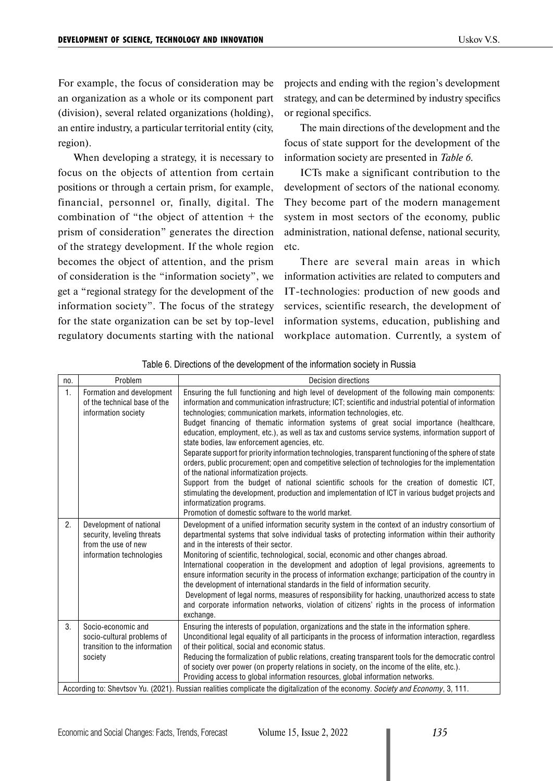For example, the focus of consideration may be an organization as a whole or its component part (division), several related organizations (holding), an entire industry, a particular territorial entity (city, region).

When developing a strategy, it is necessary to focus on the objects of attention from certain positions or through a certain prism, for example, financial, personnel or, finally, digital. The combination of "the object of attention + the prism of consideration" generates the direction of the strategy development. If the whole region becomes the object of attention, and the prism of consideration is the "information society", we get a "regional strategy for the development of the information society". The focus of the strategy for the state organization can be set by top-level regulatory documents starting with the national projects and ending with the region's development strategy, and can be determined by industry specifics or regional specifics.

The main directions of the development and the focus of state support for the development of the information society are presented in *Table 6*.

ICTs make a significant contribution to the development of sectors of the national economy. They become part of the modern management system in most sectors of the economy, public administration, national defense, national security, etc.

There are several main areas in which information activities are related to computers and IT-technologies: production of new goods and services, scientific research, the development of information systems, education, publishing and workplace automation. Currently, a system of

| no. | Problem                                                                                                                         | <b>Decision directions</b>                                                                                                                                                                                                                                                                                                                                                                                                                                                                                                                                                                                                                                                                                                                                                                                                                                                                                                                                                                                                                                                    |  |  |  |
|-----|---------------------------------------------------------------------------------------------------------------------------------|-------------------------------------------------------------------------------------------------------------------------------------------------------------------------------------------------------------------------------------------------------------------------------------------------------------------------------------------------------------------------------------------------------------------------------------------------------------------------------------------------------------------------------------------------------------------------------------------------------------------------------------------------------------------------------------------------------------------------------------------------------------------------------------------------------------------------------------------------------------------------------------------------------------------------------------------------------------------------------------------------------------------------------------------------------------------------------|--|--|--|
| 1.  | Formation and development<br>of the technical base of the<br>information society                                                | Ensuring the full functioning and high level of development of the following main components:<br>information and communication infrastructure; ICT; scientific and industrial potential of information<br>technologies; communication markets, information technologies, etc.<br>Budget financing of thematic information systems of great social importance (healthcare,<br>education, employment, etc.), as well as tax and customs service systems, information support of<br>state bodies, law enforcement agencies, etc.<br>Separate support for priority information technologies, transparent functioning of the sphere of state<br>orders, public procurement; open and competitive selection of technologies for the implementation<br>of the national informatization projects.<br>Support from the budget of national scientific schools for the creation of domestic ICT,<br>stimulating the development, production and implementation of ICT in various budget projects and<br>informatization programs.<br>Promotion of domestic software to the world market. |  |  |  |
| 2.  | Development of national<br>security, leveling threats<br>from the use of new<br>information technologies                        | Development of a unified information security system in the context of an industry consortium of<br>departmental systems that solve individual tasks of protecting information within their authority<br>and in the interests of their sector.<br>Monitoring of scientific, technological, social, economic and other changes abroad.<br>International cooperation in the development and adoption of legal provisions, agreements to<br>ensure information security in the process of information exchange; participation of the country in<br>the development of international standards in the field of information security.<br>Development of legal norms, measures of responsibility for hacking, unauthorized access to state<br>and corporate information networks, violation of citizens' rights in the process of information<br>exchange.                                                                                                                                                                                                                          |  |  |  |
| 3.  | Socio-economic and<br>socio-cultural problems of<br>transition to the information<br>society                                    | Ensuring the interests of population, organizations and the state in the information sphere.<br>Unconditional legal equality of all participants in the process of information interaction, regardless<br>of their political, social and economic status.<br>Reducing the formalization of public relations, creating transparent tools for the democratic control<br>of society over power (on property relations in society, on the income of the elite, etc.).<br>Providing access to global information resources, global information networks.                                                                                                                                                                                                                                                                                                                                                                                                                                                                                                                           |  |  |  |
|     | According to: Shevtsov Yu. (2021). Russian realities complicate the digitalization of the economy. Society and Economy, 3, 111. |                                                                                                                                                                                                                                                                                                                                                                                                                                                                                                                                                                                                                                                                                                                                                                                                                                                                                                                                                                                                                                                                               |  |  |  |

Table 6. Directions of the development of the information society in Russia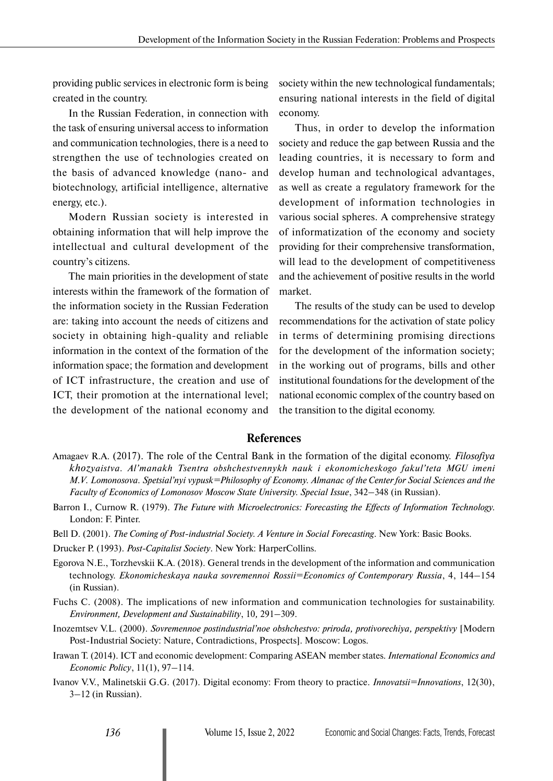providing public services in electronic form is being created in the country.

In the Russian Federation, in connection with the task of ensuring universal access to information and communication technologies, there is a need to strengthen the use of technologies created on the basis of advanced knowledge (nano- and biotechnology, artificial intelligence, alternative energy, etc.).

Modern Russian society is interested in obtaining information that will help improve the intellectual and cultural development of the country's citizens.

The main priorities in the development of state interests within the framework of the formation of the information society in the Russian Federation are: taking into account the needs of citizens and society in obtaining high-quality and reliable information in the context of the formation of the information space; the formation and development of ICT infrastructure, the creation and use of ICT, their promotion at the international level; the development of the national economy and

society within the new technological fundamentals; ensuring national interests in the field of digital economy.

Thus, in order to develop the information society and reduce the gap between Russia and the leading countries, it is necessary to form and develop human and technological advantages, as well as create a regulatory framework for the development of information technologies in various social spheres. A comprehensive strategy of informatization of the economy and society providing for their comprehensive transformation, will lead to the development of competitiveness and the achievement of positive results in the world market.

The results of the study can be used to develop recommendations for the activation of state policy in terms of determining promising directions for the development of the information society; in the working out of programs, bills and other institutional foundations for the development of the national economic complex of the country based on the transition to the digital economy.

# **References**

- Amagaev R.A. (2017). The role of the Central Bank in the formation of the digital economy. *Filosofiya khozyaistva. Al'manakh Tsentra obshchestvennykh nauk i ekonomicheskogo fakul'teta MGU imeni M.V. Lomonosova. Spetsial'nyi vypusk=Philosophy of Economy. Almanac of the Center for Social Sciences and the Faculty of Economics of Lomonosov Moscow State University. Special Issue*, 342–348 (in Russian).
- Barron I., Curnow R. (1979). *The Future with Microelectronics: Forecasting the Effects of Information Technology.* London: F. Pinter.
- Bell D. (2001). *The Coming of Post-industrial Society. A Venture in Social Forecasting*. New York: Basic Books.
- Drucker P. (1993). *Post-Capitalist Society*. New York: HarperCollins.
- Egorova N.E., Torzhevskii K.A. (2018). General trends in the development of the information and communication technology. *Ekonomicheskaya nauka sovremennoi Rossii=Economics of Contemporary Russia*, 4, 144–154 (in Russian).
- Fuchs C. (2008). The implications of new information and communication technologies for sustainability. *Environment, Development and Sustainability*, 10*,* 291–309.
- Inozemtsev V.L. (2000). *Sovremennoe postindustrial'noe obshchestvo: priroda, protivorechiya, perspektivy* [Modern Post-Industrial Society: Nature, Contradictions, Prospects]. Moscow: Logos.
- Irawan T. (2014). [ICT and economic development: Comparing ASEAN member states.](https://ideas.repec.org/a/kap/iecepo/v11y2014i1p97-114.html) *[International Economics and](https://ideas.repec.org/s/kap/iecepo.html)  [Economic Policy](https://ideas.repec.org/s/kap/iecepo.html)*, 11(1), 97–114.
- Ivanov V.V., Malinetskii G.G. (2017). Digital economy: From theory to practice. *Innovatsii=Innovations*, 12(30), 3–12 (in Russian).